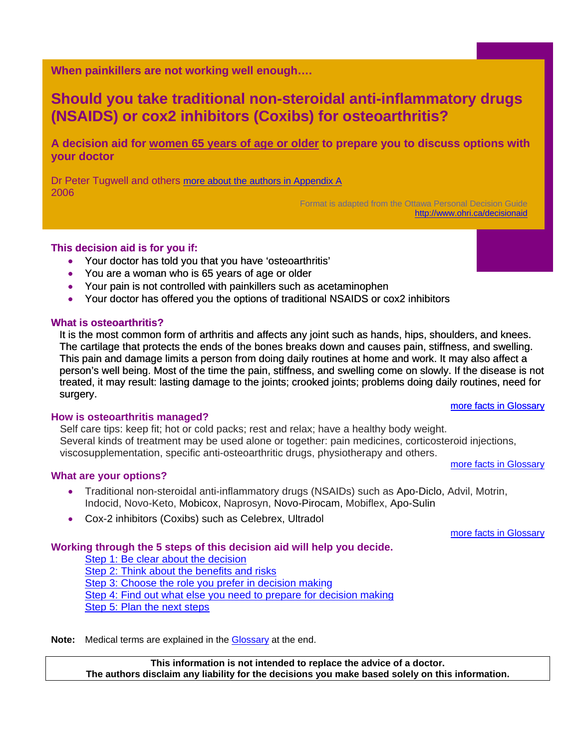<span id="page-0-0"></span>**When painkillers are not working well enough….** 

# **Should you take traditional non-steroidal anti-inflammatory drugs (NSAIDS) or cox2 inhibitors (Coxibs) for osteoarthritis?**

**A decision aid for women 65 years of age or older to prepare you to discuss options with your doctor** 

Dr Peter Tugwell and others [more about the authors in Appendix A](#page-5-0) 2006

Format is adapted from the Ottawa Personal Decision Guide <http://www.ohri.ca/decisionaid>

## **This decision aid is for you if:**

- Your doctor has told you that you have 'osteoarthritis'
- You are a woman who is 65 years of age or older
- Your pain is not controlled with painkillers such as acetaminophen
- Your doctor has offered you the options of traditional NSAIDS or cox2 inhibitors

#### **What is osteoarthritis?**

It is the most common form of arthritis and affects any joint such as hands, hips, shoulders, and knees. The cartilage that protects the ends of the bones breaks down and causes pain, stiffness, and swelling. This pain and damage limits a person from doing daily routines at home and work. It may also affect a person's well being. Most of the time the pain, stiffness, and swelling come on slowly. If the disease is not treated, it may result: lasting damage to the joints; crooked joints; problems doing daily routines, need for surgery. [more facts in Glossary](#page-6-0)

#### **How is osteoarthritis managed?**

Self care tips: keep fit; hot or cold packs; rest and relax; have a healthy body weight. Several kinds of treatment may be used alone or together: pain medicines, corticosteroid injections, viscosupplementation, specific anti-osteoarthritic drugs, physiotherapy and others. [more facts in Glossary](#page-6-0)

#### **What are your options?**

- Traditional non-steroidal anti-inflammatory drugs (NSAIDs) such as Apo-Diclo, Advil, Motrin, Indocid, Novo-Keto, Mobicox, Naprosyn, Novo-Pirocam, Mobiflex, Apo-Sulin
- Cox-2 inhibitors (Coxibs) such as Celebrex, Ultradol

[more facts in Glossary](#page-6-0)

#### **Working through the 5 steps of this decision aid will help you decide.**

[Step 1: Be clear about the decision](#page-1-0) [Step 2: Think about the benefits and risks](#page-2-0) Step 3: Choose [the role you prefer in decision makin](#page-4-0)g [Step 4: Find out what else you need to prepare for decision making](#page-4-0) [Step 5: Plan the next steps](#page-4-0)

**Note:** Medical terms are explained in the [Glossary](#page-6-0) at the end.

**This information is not intended to replace the advice of a doctor. The authors disclaim any liability for the decisions you make based solely on this information.**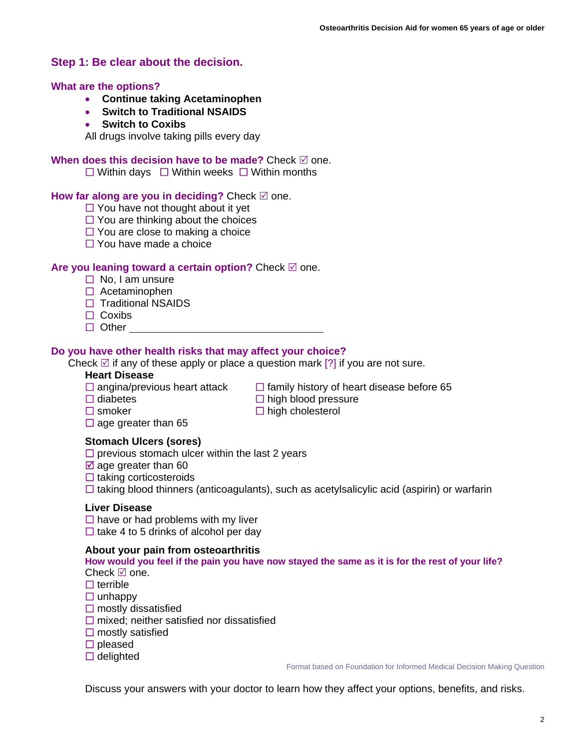## <span id="page-1-0"></span>**Step 1: Be clear about the decision.**

#### **What are the options?**

- **Continue taking Acetaminophen**
- **Switch to Traditional NSAIDS**
- **Switch to Coxibs**

All drugs involve taking pills every day

#### **When does this decision have to be made?** Check  $\boxtimes$  one.

 $\Box$  Within days  $\Box$  Within weeks  $\Box$  Within months

#### **How far along are you in deciding?** Check  $\mathbb{Z}$  one.

- $\Box$  You have not thought about it yet
- $\Box$  You are thinking about the choices
- $\Box$  You are close to making a choice
- $\Box$  You have made a choice

#### **Are you leaning toward a certain option?** Check ⊠ one.

- $\Box$  No. I am unsure
- $\Box$  Acetaminophen
- $\Box$  Traditional NSAIDS
- $\Box$  Coxibs
- $\Box$  Other

#### **Do you have other health risks that may affect your choice?**

Check  $\boxtimes$  if any of these apply or place a question mark [?] if you are not sure.

#### **Heart Disease**

- $\Box$  angina/previous heart attack  $\Box$  family history of heart disease before 65
- $\Box$  diabetes  $\Box$  high blood pressure
- $\Box$  smoker  $\Box$  high cholesterol
- $\Box$  age greater than 65

#### **Stomach Ulcers (sores)**

- $\square$  previous stomach ulcer within the last 2 years
- $\boxtimes$  age greater than 60
- $\Box$  taking corticosteroids
- $\Box$  taking blood thinners (anticoagulants), such as acetylsalicylic acid (aspirin) or warfarin

#### **Liver Disease**

 $\Box$  have or had problems with my liver  $\Box$  take 4 to 5 drinks of alcohol per day

#### **About your pain from osteoarthritis**

#### **How would you feel if the pain you have now stayed the same as it is for the rest of your life?**  Check  $\boxtimes$  one.

- $\Box$  terrible
- $\Box$  unhappy
- $\square$  mostly dissatisfied
- $\Box$  mixed; neither satisfied nor dissatisfied
- $\square$  mostly satisfied
- $\square$  pleased
- $\Box$  delighted

Format based on Foundation for Informed Medical Decision Making Question

Discuss your answers with your doctor to learn how they affect your options, benefits, and risks.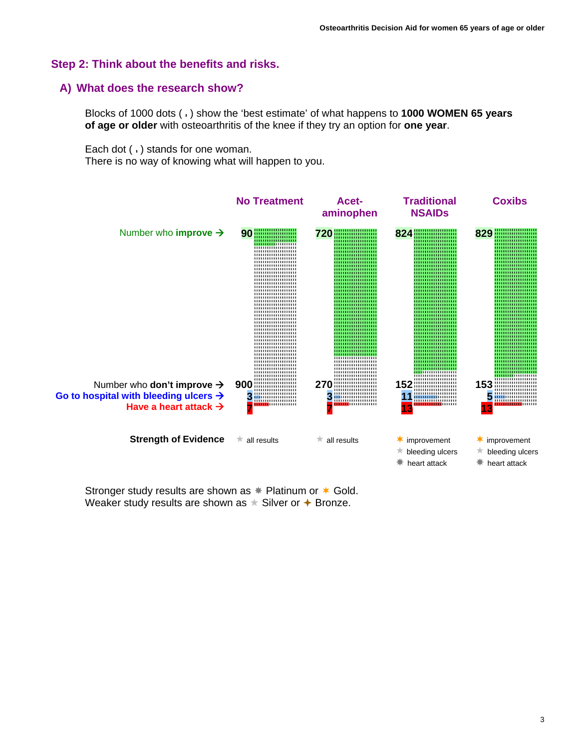## <span id="page-2-0"></span>**Step 2: Think about the benefits and risks.**

#### **A) What does the research show?**

Blocks of 1000 dots ( ) show the 'best estimate' of what happens to **1000 WOMEN 65 years of age or older** with osteoarthritis of the knee if they try an option for **one year**.

Each dot  $( \cdot )$  stands for one woman.

There is no way of knowing what will happen to you.



Stronger study results are shown as  $*$  Platinum or  $*$  Gold. Weaker study results are shown as  $\star$  Silver or  $\star$  Bronze.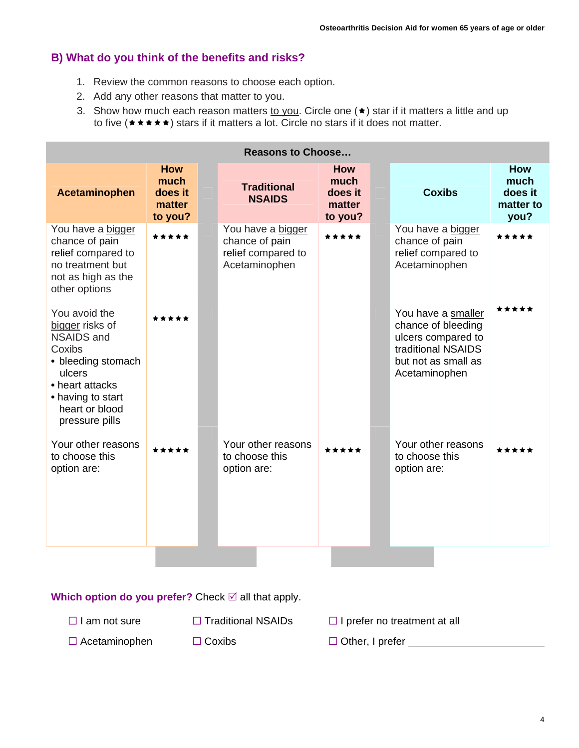# **B) What do you think of the benefits and risks?**

- 1. Review the common reasons to choose each option.
- 2. Add any other reasons that matter to you.
- 3. Show how much each reason matters to you. Circle one  $(\star)$  star if it matters a little and up to five  $(\star \star \star \star)$  stars if it matters a lot. Circle no stars if it does not matter.

| <b>Reasons to Choose</b>                                                                                                                                                    |                                                    |  |                                                                            |                                                    |  |                                                                                                                              |                                                    |
|-----------------------------------------------------------------------------------------------------------------------------------------------------------------------------|----------------------------------------------------|--|----------------------------------------------------------------------------|----------------------------------------------------|--|------------------------------------------------------------------------------------------------------------------------------|----------------------------------------------------|
| <b>Acetaminophen</b>                                                                                                                                                        | <b>How</b><br>much<br>does it<br>matter<br>to you? |  | <b>Traditional</b><br><b>NSAIDS</b>                                        | <b>How</b><br>much<br>does it<br>matter<br>to you? |  | <b>Coxibs</b>                                                                                                                | <b>How</b><br>much<br>does it<br>matter to<br>you? |
| You have a bigger<br>chance of pain<br>relief compared to<br>no treatment but<br>not as high as the<br>other options                                                        | *****                                              |  | You have a bigger<br>chance of pain<br>relief compared to<br>Acetaminophen | *****                                              |  | You have a bigger<br>chance of pain<br>relief compared to<br>Acetaminophen                                                   | *****                                              |
| You avoid the<br>bigger risks of<br><b>NSAIDS and</b><br>Coxibs<br>• bleeding stomach<br>ulcers<br>• heart attacks<br>• having to start<br>heart or blood<br>pressure pills | *****                                              |  |                                                                            |                                                    |  | You have a smaller<br>chance of bleeding<br>ulcers compared to<br>traditional NSAIDS<br>but not as small as<br>Acetaminophen | *****                                              |
| Your other reasons<br>to choose this<br>option are:                                                                                                                         | *****                                              |  | Your other reasons<br>to choose this<br>option are:                        | *****                                              |  | Your other reasons<br>to choose this<br>option are:                                                                          | *****                                              |

**Which option do you prefer?** Check ⊠ all that apply.

- $\Box$  I am not sure  $\Box$  Traditional NSAIDs  $\Box$  I prefer no treatment at all
- $\Box$  Acetaminophen  $\Box$  Coxibs  $\Box$  Other, I prefer
-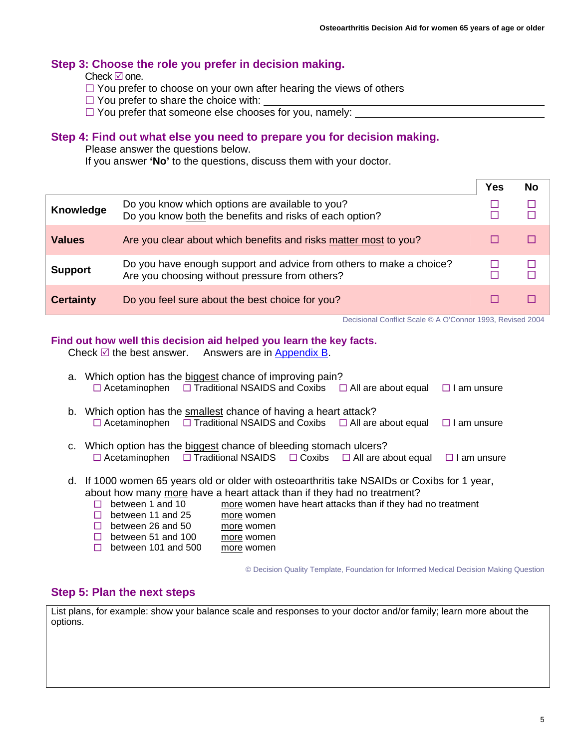## <span id="page-4-0"></span>**[Step 3](#page-0-0): Choose the role you prefer in decision making.**

Check  $\boxtimes$  one.

- $\Box$  You prefer to choose on your own after hearing the views of others
- $\Box$  You prefer to share the choice with:
- $\Box$  You prefer that someone else chooses for you, namely:

## **Step 4: Find out what else you need to prepare you for decision making.**

Please answer the questions below.

If you answer **'No'** to the questions, discuss them with your doctor.

|                  |                                                                                                                       | Yes | No |
|------------------|-----------------------------------------------------------------------------------------------------------------------|-----|----|
| Knowledge        | Do you know which options are available to you?<br>Do you know both the benefits and risks of each option?            |     |    |
| <b>Values</b>    | Are you clear about which benefits and risks matter most to you?                                                      |     |    |
| <b>Support</b>   | Do you have enough support and advice from others to make a choice?<br>Are you choosing without pressure from others? |     |    |
| <b>Certainty</b> | Do you feel sure about the best choice for you?                                                                       |     |    |

Decisional Conflict Scale © A O'Connor 1993, Revised 2004

## **Find out how well this decision aid helped you learn the key facts.**

Check  $\mathbb Z$  the best answer. Answers are in [Appendix B](#page-5-0).

|                                                                                                                                                                                                                                                                                                                                                                                                          | a. Which option has the biggest chance of improving pain?<br>$\Box$ Acetaminophen $\Box$ Traditional NSAIDS and Coxibs $\Box$ All are about equal $\Box$ I am unsure                |  |  |  |  |
|----------------------------------------------------------------------------------------------------------------------------------------------------------------------------------------------------------------------------------------------------------------------------------------------------------------------------------------------------------------------------------------------------------|-------------------------------------------------------------------------------------------------------------------------------------------------------------------------------------|--|--|--|--|
|                                                                                                                                                                                                                                                                                                                                                                                                          | b. Which option has the smallest chance of having a heart attack?<br>$\Box$ Acetaminophen $\Box$ Traditional NSAIDS and Coxibs $\Box$ All are about equal $\Box$ I am unsure        |  |  |  |  |
|                                                                                                                                                                                                                                                                                                                                                                                                          | c. Which option has the biggest chance of bleeding stomach ulcers?<br>$\Box$ Acetaminophen $\Box$ Traditional NSAIDS $\Box$ Coxibs $\Box$ All are about equal<br>$\Box$ I am unsure |  |  |  |  |
| d. If 1000 women 65 years old or older with osteoarthritis take NSAIDs or Coxibs for 1 year,<br>about how many more have a heart attack than if they had no treatment?<br>between 1 and 10<br>more women have heart attacks than if they had no treatment<br>П<br>between 11 and 25<br>more women<br>ш<br>between 26 and 50<br>$\mathbf{L}$<br>more women<br>$\Box$ botward $E1$ and $100$<br>mara waman |                                                                                                                                                                                     |  |  |  |  |

between 51 and 100 more women

 $\Box$  between 101 and 500 more women

© Decision Quality Template, Foundation for Informed Medical Decision Making Question

## **Step 5: Plan the next steps**

List plans, for example: show your balance scale and responses to your doctor and/or family; learn more about the options.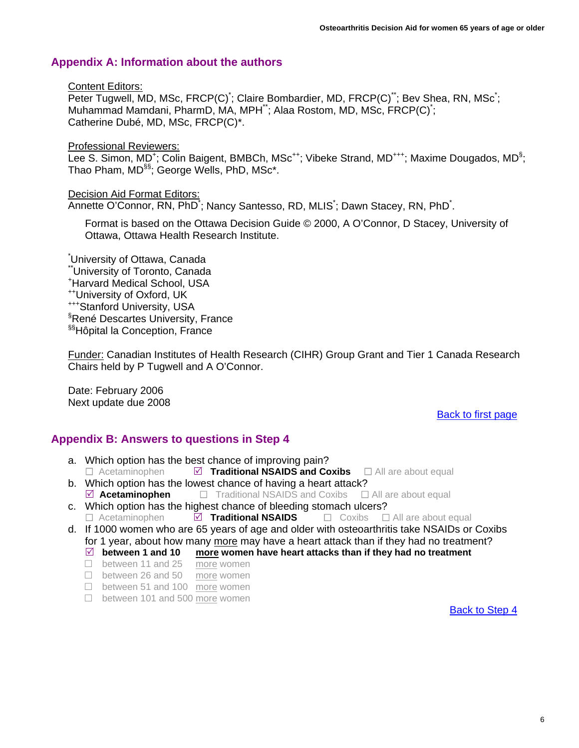# <span id="page-5-0"></span>**Appendix A: Information about the authors**

#### Content Editors:

Peter Tugwell, MD, MSc, FRCP(C)<sup>\*</sup>; Claire Bombardier, MD, FRCP(C)<sup>\*\*</sup>; Bev Shea, RN, MSc<sup>\*</sup>; Muhammad Mamdani, PharmD, MA, MPH\*\*; Alaa Rostom, MD, MSc, FRCP(C)\* ; Catherine Dubé, MD, MSc, FRCP(C)\*.

Professional Reviewers:

Lee S. Simon, MD<sup>+</sup>; Colin Baigent, BMBCh, MSc<sup>++</sup>; Vibeke Strand, MD<sup>+++</sup>; Maxime Dougados, MD<sup>§</sup>; Thao Pham, MD<sup>§§</sup>; George Wells, PhD, MSc<sup>\*</sup>.

## Decision Aid Format Editors:

Annette O'Connor, RN, PhD<sup>\*</sup>; Nancy Santesso, RD, MLIS<sup>\*</sup>; Dawn Stacey, RN, PhD<sup>\*</sup>.

Format is based on the Ottawa Decision Guide © 2000, A O'Connor, D Stacey, University of Ottawa, Ottawa Health Research Institute.

\* University of Ottawa, Canada \*\*University of Toronto, Canada + Harvard Medical School, USA ++University of Oxford, UK +++Stanford University, USA § René Descartes University, France §§Hôpital la Conception, France

Funder: Canadian Institutes of Health Research (CIHR) Group Grant and Tier 1 Canada Research Chairs held by P Tugwell and A O'Connor.

Date: February 2006 Next update due 2008

## [Back to first page](#page-0-0)

## **Appendix B: Answers to questions in Step 4**

- a. Which option has the best chance of improving pain?  $\Box$  Acetaminophen  $\Box$  **Traditional NSAIDS and Coxibs**  $\Box$  All are about equal
- b. Which option has the lowest chance of having a heart attack?  $\Box$  **Acetaminophen**  $\Box$  **Traditional NSAIDS and Coxibs**  $\Box$  All are about equal
- c. Which option has the highest chance of bleeding stomach ulcers? Acetaminophen5 **Traditional NSAIDS** Coxibs All are about equal
- d. If 1000 women who are 65 years of age and older with osteoarthritis take NSAIDs or Coxibs for 1 year, about how many more may have a heart attack than if they had no treatment?
	- $\boxtimes$  between 1 and 10 more women have heart attacks than if they had no treatment
	- □ between 11 and 25 more women
	- □ between 26 and 50 more women
	- □ between 51 and 100 more women
	- □ between 101 and 500 more women

[Back to Step 4](#page-4-0)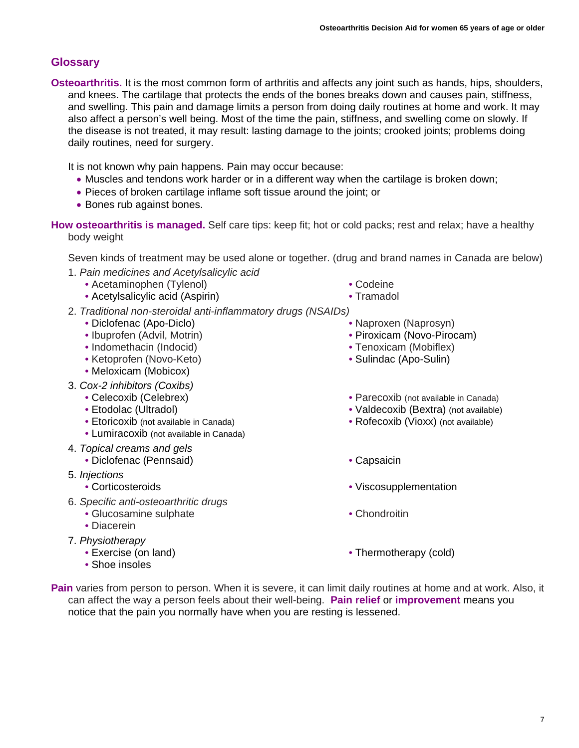# <span id="page-6-0"></span>**Glossary**

**Osteoarthritis.** It is the most common form of arthritis and affects any joint such as hands, hips, shoulders, and knees. The cartilage that protects the ends of the bones breaks down and causes pain. stiffness. and swelling. This pain and damage limits a person from doing daily routines at home and work. It may also affect a person's well being. Most of the time the pain, stiffness, and swelling come on slowly. If the disease is not treated, it may result: lasting damage to the joints; crooked joints; problems doing daily routines, need for surgery.

It is not known why pain happens. Pain may occur because:

- Muscles and tendons work harder or in a different way when the cartilage is broken down;
- Pieces of broken cartilage inflame soft tissue around the joint; or
- Bones rub against bones.

**How osteoarthritis is managed.** Self care tips: keep fit; hot or cold packs; rest and relax; have a healthy body weight

Seven kinds of treatment may be used alone or together. (drug and brand names in Canada are below)

- 1. *Pain medicines and Acetylsalicylic acid*
	- Acetaminophen (Tylenol)
	- Acetylsalicylic acid (Aspirin)
- 2. *Traditional non-steroidal anti-inflammatory drugs (NSAIDs)* 
	- Diclofenac (Apo-Diclo)
	- Ibuprofen (Advil, Motrin)
	- Indomethacin (Indocid)
	- Ketoprofen (Novo-Keto)
	- Meloxicam (Mobicox)
- 3. *Cox-2 inhibitors (Coxibs)*
	- Celecoxib (Celebrex)
	- Etodolac (Ultradol)
	- Etoricoxib (not available in Canada)
	- Lumiracoxib (not available in Canada)
- 4. *Topical creams and gels*
	- Diclofenac (Pennsaid) Capsaicin
- 5. *Injections*
	-
- 6. *Specific anti-osteoarthritic drugs*
	- Glucosamine sulphate
	- Diacerein
- 7. *Physiotherapy* 
	- Exercise (on land)
	- Shoe insoles
- Codeine
- Tramadol
- Naproxen (Naprosyn)
- 
- Piroxicam (Novo-Pirocam)
- Tenoxicam (Mobiflex)
- Sulindac (Apo-Sulin)
- Parecoxib (not available in Canada)
- Valdecoxib (Bextra) (not available)
- Rofecoxib (Vioxx) (not available)
- 
- Corticosteroids Viscosupplementation
	- Chondroitin
	- Thermotherapy (cold)
- **Pain** varies from person to person. When it is severe, it can limit daily routines at home and at work. Also, it can affect the way a person feels about their well-being. **Pain relief** or **improvement** means you notice that the pain you normally have when you are resting is lessened.